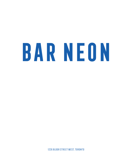# BAR NEON

1226 Bloor StREET WEST, TORONTO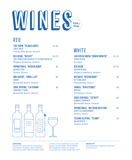# WINES **750 ml**

# RED

| THE FARM, "BLACK LABEL"<br>PINOT NOIR<br>Twenty Mile Bench, Ontario                               | 15   62 |
|---------------------------------------------------------------------------------------------------|---------|
| <b>BIG HEAD, "RED #7"</b><br>CAB FRANC/CAB SAUV/PETIT VERDOT/MERLOT<br>Niagara Peninsula, Ontario | 16   75 |
| <b>PAPANTONIS, "MEDEN AGAN"</b><br>AGIORGITIKO<br>Nemea, Greece                                   | 65      |
| <b>MALIVOIRE, "SMALL LOT"</b><br>GAMAY<br>Beamsville Bench, Ontario                               | հ հ     |
| <b>CAVE SPRING, "LA PENNA"</b><br><b>CABERNET FRANC</b>                                           | 92      |

### *Beamsville Bench, Ontario*



# **WHITE**

| LUA CHEIA SAVEN, "MARIA BONITA"<br><b>VINHO VERDE</b><br>Portugal            | 15175 |
|------------------------------------------------------------------------------|-------|
| <b>BIG HEAD</b><br><b>CHENIN BLANC</b><br>Niagara Lakeshore, Ontario         | 15 75 |
| <b>KECHRIS."KECHRIBARI"</b><br>RETSINA 500 ML<br>Thessaloniki, Greece        | 35    |
| SAMOS, "HIGH PEAKS"<br>MUSCAT<br>PGI Samos, Greece                           | 58    |
| <b>CAVE SPRINGS, "ESTATE"</b><br>GEWURZTRAMINER<br>Beamsville Bench, Ontario | 64    |
| <b>PAPANTONIS, "METRON ARISTON"</b><br>RODITIS/CHARDONNAY<br>Nemea, Greece   | 65    |
| <b>TECHNI ALIPIAS, "PLANO"</b><br>MALAGOUSIA                                 | 70    |

*Drama, Greece*

#### **CORKING**

Guests are welcome to bring their own wine, however, there will be a \$45 fee for each 750 ml bottle, with a limit of one bottle for every two guests at the table. Wine bottles purchased for dine-in can be re-corked for "take home the rest". **GRATUITY** 20% gratuity is applied to parties of 8 or more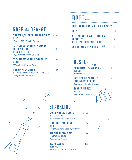# ROSÉ and ORANGE

| THE FARM, "BLACK LABEL POOLSIDE"<br>ROSÉ<br>Twenty Mile Bench, Ontario                                             | 15 62 |
|--------------------------------------------------------------------------------------------------------------------|-------|
| <b>13TH STREET WINERY, "MAXIMUM</b><br><b>INTERVENTION"</b><br>ORANGE RIESLING<br><b>VOA Creek Shores, Ontario</b> | 63    |
| <b>13TH STREET WINERY, "VIN GRIS"</b><br>GAMAY<br><b>VOA Creek Shores, Ontario</b>                                 | 75    |
| DOMAIN MEGA SPILEO<br>NATURAL ORANGE WINE, RODITIS / MALVASIA<br>Peloponnese, Greece                               | 114   |

RosÉ Brut

*Twenty Mile Bench, Ontario*



| 75                                                                                        | DESSERT                                                                                   |       |    |
|-------------------------------------------------------------------------------------------|-------------------------------------------------------------------------------------------|-------|----|
| 114<br><b>SIA</b>                                                                         | ARHONTIKO, "MAKEDONIAS"<br><b>TSIPOURO</b><br>Almopia, Greece                             | 2 O Z | 9  |
|                                                                                           | <b>CAVE SPRING, "ESTATE"</b><br><b>LATE HARVEST RIESLING</b><br>Beamsville Bench, Ontario |       | 10 |
|                                                                                           | <b>SAMOS VIN DOUX</b><br>MUSCAT<br>PGI Samos, Greece                                      |       | 12 |
|                                                                                           | Ω                                                                                         |       |    |
| <b>SPARKLING</b>                                                                          |                                                                                           |       |    |
| <b>CAVE SPRINGS, "ESTATE"</b><br><b>RIESLING BRUT</b><br>Beamsville Bench, Ontario        | 13   60                                                                                   |       | O  |
| <b>LIGHTHALL, "THE FENCE"</b><br>ROSÉ<br>Prince Edward County, Ontario                    | 64                                                                                        |       |    |
| <b>KIR YIANNI, "AKAKIES"</b><br><b><i><u>IROSÉI XINOMAVRO</u></i></b><br>Amyndeon, Greece | 68                                                                                        |       |    |
| <b>2027 CELLARS</b>                                                                       | 108                                                                                       |       |    |

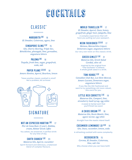# **COCKTAILS**

# CLASSIC\*

∞∞∞∞∞

**MARGARITA 202 16** 

*El Jimador, Cointreau, agave, lime*

#### **SINGAPORE SLING 202 15**

*Gin, Cherry Heering, Triple Sec, Bénédictine, pineapple, lime, grenadine, angostura bitters*

#### **PALOMA 202 16**

*Tequila, fresh lime, sugar, grapefruit, soda, salt*

#### **PAPER PLANE 2.25 0Z 18**

*Amaro Nonino, Aperol, Bourbon, lemon*

\*Have another classic cocktail in mind? Not a problem, let us know!



# **SIGNATURE**

#### ∞∞∞∞∞∞

#### **Not An Espresso Martini 2oz** 17

*Flor de Cana Rum (5 year), Kahlúa, cream, Nektar Greek coffee* You asked, we answered. A perfect drink for any time of day.

#### **EARTH SHAKER 30Z** 23

*Mataroa Gin, Aperol, cucumber* 

Spirit forward and delicious, a balanced blend of complex flavours.

#### **World Traveller 2oz** 17

*El Jimador, Aperol, Ouzo, honey, grapefruit, ginger beer, jalapeño, lime* A complex experience that will have you pulling out your passport.

#### **Neon Fashioned 2.25 oz** 17

*Metaxa, Maraschino Liquor, Demerara sugar, angostura bitters*  Our very own twist on this classic drink.

#### **GREEK GIMLET 202** 21

*Mataroa Gin, Greek Salad Cordial, olive oil* Inspired by the original from "The Clumsies" in Athens. A whole greek salad in a drink.

#### **TONI KUKOC 202 16**

*Canadian Club Rye, Los Siete Mezcal, Amaro Lucano, Demerara sugar, angostura bitters*  If you like the Old-Fashioned and want to try something a bit more robust, this one's for you.

#### **LITTLE RED CORVETTE 202** 18

*Mataroa Gin, Campari, lime, strawberry basil syrup, egg white*  A sweet & herbal swirl that you'll finish too soon!

#### **A Chios Dream 2 oz** 18

*Mataroa Gin, Roots Mastic, lime, agave nectar, egg white* 

Straight from the mastic island itself.

#### **CUCUMBER LEMONADE 1.0 202 16**

*Gin, Ouzo, cucumber, lemon, soda* A refreshing cocktail with some complexity.

#### **Beergherita** 15

*Corona, El Jimador, Cointreau, lime, salt rim* Why choose when you can have both!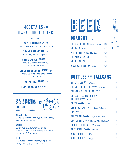# MOCKTAILS AND Low-Alcohol DRINKS

 $\begin{picture}(180,10) \put(0,0){\line(1,0){10}} \put(0,0){\line(1,0){10}} \put(0,0){\line(1,0){10}} \put(0,0){\line(1,0){10}} \put(0,0){\line(1,0){10}} \put(0,0){\line(1,0){10}} \put(0,0){\line(1,0){10}} \put(0,0){\line(1,0){10}} \put(0,0){\line(1,0){10}} \put(0,0){\line(1,0){10}} \put(0,0){\line(1,0){10}} \put(0,0){\line(1,0){10}} \put(0$ 

**Mariel Hemingway** 11 *Honey syrup, lemon, star anise, soda* 

**SUMMER REFRESHER** 9 *Cucumber, lemon, sugar, soda*

**Greek Garden <0.5% ABV** 16 *Seedlip Garden, Greek Salad Cordial, olive oil* 

**STRAWBERRY CLOUD <0.5% ABV 17** *Seedlip Garden, lime, strawberry basil syrup*

**PARTAKE IPA <0.3% ABV 7** 

#### **PARTAKE BLONDE <0.3% ABV 7**





**Sparkling**

*Cava, Raspberry Vodka, pink lemonade, Vodka-cured chillies* 

#### **White**

*White Wine, Alize Passion Fruit, White Vermouth, strawberry-rosewaterpassionfruit lemonade* 

#### **Red**

*Red Wine, Cherry Brandy, Triple Sec, orange juice, ginger ale, citrus*





| BEAU'S LUG TREAD Lagered Ale 10.25 |                | ω |
|------------------------------------|----------------|---|
| GUINNESS Stout                     | 10.25          | Ċ |
| MILL STREET ORGANIC Lager 10.25    |                |   |
| <b>ROTATING DRAUGHT</b>            | M <sub>P</sub> |   |
| <b>SEASONAL TAP</b>                | M <sub>P</sub> |   |
| WAUPOOS PREMIUM Cider              | 10.25          |   |

 $\circ$  $\Omega$ 

# **BOTTLES and TALLCANs**

| BELLWEISER <sup>473ML</sup> Pilsner                        | 9  |
|------------------------------------------------------------|----|
| <b>BLANCHE DE CHAMBLY 473ML Wit Bier</b>                   | 9  |
| <b>CALABOGIE BLEEP BLOOP 473ML IPA</b>                     | 9  |
| <b>COLLECTIVE ARTS, JAM UP</b>                             |    |
| THE MASH 473ML Sour                                        | 9  |
| $CORONA$ <sup>330ML</sup> Lager                            | 8  |
| ELORA BOREALIS <sup>500ML</sup> Citra Pale Ale             | 11 |
| $FIX$ 330ML Lager                                          | 9  |
| GLUTENBERG <sup>473ML</sup> IPA, Gluten Free               | 9  |
| <b>GLUTENBERG</b> <sup>473ML</sup> Blonde Ale, Gluten Free | 9  |
| <b>GOODLOT BIGHEAD 473ML Amber</b>                         | 9  |
| THE SOCIABLE <sup>473ML</sup> Pilsner                      | 9  |
| WOODHOUSE <sup>473ML</sup> IPA                             | 9  |
| WOODHOUSE <sup>473ML</sup> Lager                           | 9  |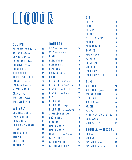# LIQUOR

### **Scotch**

| AUCHENTOSHAN 12 year | 18 |
|----------------------|----|
| BALVENIE 12 year     | 18 |
| BOWMORE 12 year      | 17 |
| DALWHINNIE $15$ year | 19 |
| GLENLIVET 12 year    | 17 |
| GLENROTHES           | 16 |
| J & B SCOTCH         | 12 |
| JOHNNIE WALKER GOLD  | 17 |
| LAGAVULIN 16 year    | 23 |
| LAPHROAIG Select     | 18 |
| MACALLAN GOLD        | 18 |
| $0 BAN$ 14 year      | 23 |
| TALISKER 10 year     | 19 |
| TALISKER STORM       | 19 |
|                      |    |

# **Whiskey**

| <b>BUSHMILL SINGLE</b>       | 13 |
|------------------------------|----|
| CANADIAN CLUB                | 10 |
| CROWN ROYAL                  | 12 |
| <b>GOODERHAM &amp; WORTS</b> | 14 |
| LOT 40                       | 14 |
| <b>JACK DANIELS</b>          | 12 |
| <b>JAMESON</b>               | 12 |
| <b>PIKE CREEK</b>            | 12 |
| <b>SORTILÈGE</b>             | 12 |

### **Bourbon**

| 1792 Single Barrel            | 16              |
|-------------------------------|-----------------|
| 1792 Small Batch              | 17              |
| <b>BAKER'S</b>                | 16              |
| <b>BASIL HAYDEN</b>           | 16              |
| <b>BEER BARREL</b>            | 10              |
| <b>BLANTON'S</b>              | 16              |
| <b>BUFFALO TRACE</b>          | 15              |
| BULLEIT                       | 15              |
| ELIJAH CRAIG 12 year          | 15              |
| ELIJAH CRAIG Small Batch 15   |                 |
| <b>EVAN WILLIAMS 1783</b>     | 15              |
| <b>EVAN WILLIAMS</b> Single   | -15             |
| <b>FEW</b>                    | 18              |
| <b>FOUR ROSES</b>             | $\overline{11}$ |
| FOUR ROSES Single             | 16              |
| <b>FOUR ROSES</b> Small Batch | 18              |
| <b>JEFFERSON RESERVE</b>      | 13              |
| <b>KNOB CREEK</b>             | 15              |
| <b>LARCENY</b>                | 16              |
| <b>MAKER'S MARK</b>           | 16              |
| <b>MAKER'S MARK 46</b>        | 18              |
| <b>MICHTER'S</b> Small Batch  | 18              |
| <b>W.L. WELLER</b>            | 15              |
| <b>WILD TURKEY 101</b>        | 14              |
| <b>WOODFORD RESERVE</b>       | 15              |
|                               |                 |

# **Gin**

| <b>BEEFEATER</b>              | 10                      |
|-------------------------------|-------------------------|
| <b>BOMBAY</b>                 | 13                      |
| <b>BOTANIST</b>               | $\overline{14}$         |
| <b>BROKERS</b>                | 13                      |
| <b>COLLECTIVE ARTS</b>        | 14                      |
| <b>DILLONS</b>                | 13                      |
| <b>DILLONS ROSE</b>           | 14                      |
| <b>EMPRESS</b>                | $\overline{14}$         |
| <b>KEW ORGANIC</b>            | 14                      |
| <b>MATAROA</b>                | 12                      |
| <b>HENDRICKS</b>              | 14                      |
| <b>SLOE GIN</b>               | $\overline{11}$         |
| <b>TANQUERAY</b>              | 13                      |
| <b>TANQUERAY NO. 10</b>       | $\overline{14}$         |
| <b>RUM</b>                    |                         |
| <b>APPLETON</b>               | 11                      |
| APPLETON 12 year              | 17                      |
| <b>BACARDI WHITE</b>          | 10                      |
| <b>EL DORADO</b>              | 15                      |
| <b>FLOR DE CANA</b>           | 12                      |
| <b>KRAKEN</b>                 | $\overline{\mathbf{1}}$ |
| <b>MALIBU</b>                 | 10                      |
| <b>MOUNT GAY BLACK BARREL</b> | 14                      |
| <b>RON ZACAPA</b>             | 18                      |
| <b>SAILOR JERRY</b>           | 12                      |
| <b>TEOUILA AND MEZCAL</b>     |                         |
| $1800$ Anejo                  | 14                      |
| <b>CABO WABO</b>              | 15                      |
| CASAMIGOS Anejo               | 17                      |
| CASAMIGOS Blanco              | 14                      |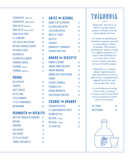| CASAMIGOS Mezcal           | 16 |
|----------------------------|----|
| CASAMIGOS Reposado         | 14 |
| DON JULIO Blanco           | 16 |
| DON JULIO Reposado         | 17 |
| <b>DON JULIO 1942</b>      | 30 |
| <b>ELJIMADOR</b>           | 10 |
| <b>LOS SIETE MISTERIOS</b> | 14 |
| <b>MESCAL AMORES VERDE</b> | 14 |
| <b>PATRONSILVER</b>        | 19 |
| PATRON XO                  | 14 |
| <b>SIERRA MILENARIO</b>    | 15 |
| <b>SOMBRA JOVEN</b>        | 15 |
| TROMBA Anejo               | 18 |
| TROMBA Blanco              | 15 |
| <b>VODKA</b>               |    |
| <b>BELVEDERE</b>           | 14 |
| <b>CHOPIN</b>              | 14 |
| <b>GREY GOOSE</b>          | 14 |
| <b>KETEL ONE</b>           | 13 |
| <b>STOLICHNAYA</b>         | 12 |
| <b>TITO'S HANDMADE</b>     | 13 |
| <b>WYBOROWA</b>            | 10 |

#### **Vermouth and Aperitif**

| <b>ANTICA FORMULA CARPANO</b> | $\overline{14}$ |
|-------------------------------|-----------------|
| APEROL                        | 10              |
| CAMPARI                       | 10              |
| <b>DOLIN RED</b>              | 8               |
| <b>DOLIN DRY</b>              | 8               |
| <b>OTTO'S ATHENS</b>          | 10              |
| <b>TAWSF DRY WHITE</b>        | 1 N             |

| <b>ANISE AND HERBAL</b>      |                         |
|------------------------------|-------------------------|
| <b>BABATZIM TSIPOURO</b>     | $\overline{\mathbf{1}}$ |
| DILLONS ABSINTHE             | 14                      |
| <b>LUCID ABSINTHE</b>        | 15                      |
| <b>MASTIC TEARS</b>          | $\overline{11}$         |
| <b>OUZO12</b>                | 9                       |
| PFRNOD                       | 10                      |
| RAMAZOTTI SAMBUCA            | 9                       |
| <b><i>SKINDS MASTIHA</i></b> | 11                      |
| <b>AMARO AND DIGESTIF</b>    |                         |
| <b>AMARO LUCANO</b>          | 10                      |
| <b>AMARO MONTENEGRO</b>      | 10                      |
| AMARO NONINO                 | 13                      |
| AMARO POLI VACA MORA         | 14                      |
| CYNAR                        | 10                      |
| <b>FERNET BRANCA</b>         | 9                       |
| FRANGFIICO                   | $\overline{11}$         |
| <b>GRAND MARNIFR</b>         | 14                      |
| <b>SOUTHERN COMFORT</b>      | 9                       |
|                              |                         |
| <b>COGNAC AND BRANDY</b>     |                         |
| COURVOISIER VS               | 14                      |
| EL GOBERNADOR PISCO          | 13                      |

| EL GOBERNADOR PISCO | 13 |
|---------------------|----|
| <b>HENNESSYVS</b>   | 14 |
| METAXA $5$ Star     | 11 |
| $METAXA$ 7 Star     | 12 |
| ST REMY XO          | 12 |

### 16 ANISE AND HERBAL TSIKOUDIA  $\infty$

*Tsikoudia, also know as Raki is a grape-based pomace brandy from the Greek island of Crete.* 

*It's made by distilling the remnants of grapes pressed in winemaking, similar to grappa. The pomace ferments for about 6 weeks in a tightly sealed barrel, and is then distilled into a crystal clear drink. It can contain anywhere between 40-65% alcohol.*

*Tsikoudia is a common dinner digestif and in most tavernas in Crete is offered as a complimentary digestif with fruit and sweets after the meal.*

*It can be flavoured using lemon rind, rosemary, or honey, and is sometimes served cold from a bottle kept in the freezer.*

| <b>FFF RAKI</b>  | 10 |
|------------------|----|
| <b>KRETARAKI</b> | 10 |